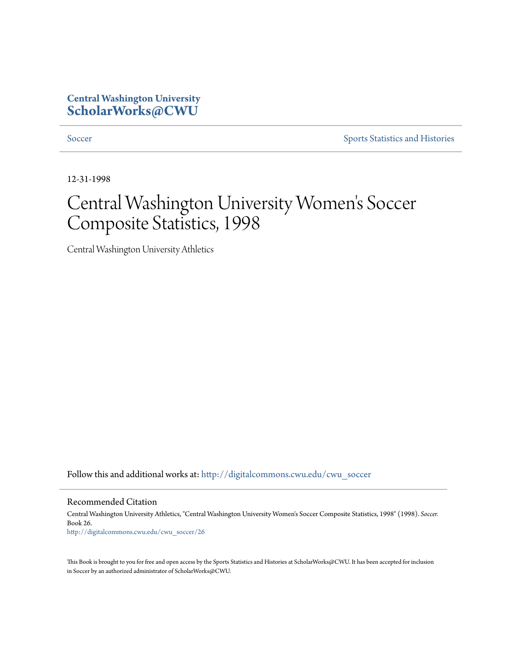## **Central Washington University [ScholarWorks@CWU](http://digitalcommons.cwu.edu?utm_source=digitalcommons.cwu.edu%2Fcwu_soccer%2F26&utm_medium=PDF&utm_campaign=PDFCoverPages)**

[Soccer](http://digitalcommons.cwu.edu/cwu_soccer?utm_source=digitalcommons.cwu.edu%2Fcwu_soccer%2F26&utm_medium=PDF&utm_campaign=PDFCoverPages) [Sports Statistics and Histories](http://digitalcommons.cwu.edu/cwu_sports_statistics?utm_source=digitalcommons.cwu.edu%2Fcwu_soccer%2F26&utm_medium=PDF&utm_campaign=PDFCoverPages)

12-31-1998

# Central Washington University Women 's Soccer Composite Statistics, 1998

Central Washington University Athletics

Follow this and additional works at: [http://digitalcommons.cwu.edu/cwu\\_soccer](http://digitalcommons.cwu.edu/cwu_soccer?utm_source=digitalcommons.cwu.edu%2Fcwu_soccer%2F26&utm_medium=PDF&utm_campaign=PDFCoverPages)

#### Recommended Citation

Central Washington University Athletics, "Central Washington University Women's Soccer Composite Statistics, 1998" (1998). *Soccer.* Book 26. [http://digitalcommons.cwu.edu/cwu\\_soccer/26](http://digitalcommons.cwu.edu/cwu_soccer/26?utm_source=digitalcommons.cwu.edu%2Fcwu_soccer%2F26&utm_medium=PDF&utm_campaign=PDFCoverPages)

This Book is brought to you for free and open access by the Sports Statistics and Histories at ScholarWorks@CWU. It has been accepted for inclusion in Soccer by an authorized administrator of ScholarWorks@CWU.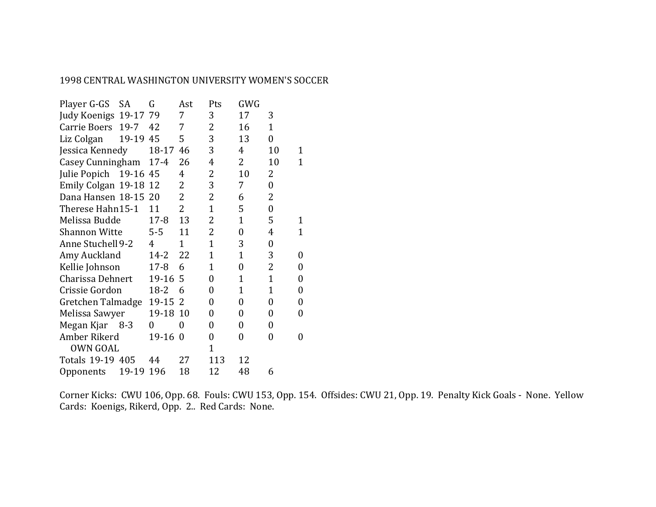### 1998 CENTRAL WASHINGTON UNIVERSITY WOMEN'S SOCCER

| <b>SA</b>                     | G              | Ast                                                                                                                                       | Pts                 | GWG            |                  |                  |
|-------------------------------|----------------|-------------------------------------------------------------------------------------------------------------------------------------------|---------------------|----------------|------------------|------------------|
|                               |                | 7                                                                                                                                         | 3                   | 17             | 3                |                  |
| $19-7$                        | 42             | 7                                                                                                                                         | 2                   | 16             | $\mathbf{1}$     |                  |
|                               | 45             | 5                                                                                                                                         | 3                   | 13             | $\overline{0}$   |                  |
| Liz Colgan<br>Jessica Kennedy |                | 46                                                                                                                                        | 3                   | 4              | 10               | 1                |
| Casey Cunningham              | $17 - 4$       | 26                                                                                                                                        | $\overline{4}$      | $\overline{2}$ | 10               | 1                |
|                               | 45             | 4                                                                                                                                         | 2                   | 10             | 2                |                  |
|                               |                | $\overline{2}$                                                                                                                            | 3                   | 7              | $\boldsymbol{0}$ |                  |
|                               | 20             | $\overline{2}$                                                                                                                            | 2                   | 6              | 2                |                  |
| Therese Hahn15-1              | 11             | $\overline{2}$                                                                                                                            | $\mathbf 1$         | 5              | $\boldsymbol{0}$ |                  |
| Melissa Budde                 | $17 - 8$       | 13                                                                                                                                        | 2                   | 1              | 5                | 1                |
| <b>Shannon Witte</b>          | $5 - 5$        | 11                                                                                                                                        | 2                   | $\overline{0}$ | 4                | $\overline{1}$   |
| Anne Stuchell 9-2             | $\overline{4}$ | $\overline{1}$                                                                                                                            | $\overline{1}$      | 3              | 0                |                  |
| Amy Auckland                  | 14-2           | 22                                                                                                                                        | $\overline{1}$      | $\overline{1}$ | 3                | $\boldsymbol{0}$ |
| Kellie Johnson                | $17 - 8$       | 6                                                                                                                                         | $\mathbf 1$         | $\overline{0}$ | 2                | $\boldsymbol{0}$ |
| Charissa Dehnert              | 19-16          |                                                                                                                                           | 0                   | $\mathbf{1}$   | $\mathbf{1}$     | $\boldsymbol{0}$ |
| Crissie Gordon                |                | 6                                                                                                                                         | 0                   | $\mathbf 1$    | $\mathbf{1}$     | $\boldsymbol{0}$ |
| Gretchen Talmadge             |                |                                                                                                                                           | 0                   | 0              | 0                | $\boldsymbol{0}$ |
| Melissa Sawyer                |                |                                                                                                                                           | 0                   | 0              | 0                | $\boldsymbol{0}$ |
| Megan Kjar 8-3                | 0              | 0                                                                                                                                         | $\overline{0}$      | 0              | 0                |                  |
| Amber Rikerd                  |                | $\theta$                                                                                                                                  | 0                   | $\overline{0}$ | $\overline{0}$   | $\boldsymbol{0}$ |
| <b>OWN GOAL</b>               |                |                                                                                                                                           | $\mathbf{1}$        |                |                  |                  |
| Totals 19-19 405              | 44             | 27                                                                                                                                        | 113                 | 12             |                  |                  |
| 19-19                         | 196            | 18                                                                                                                                        | 12                  | 48             | 6                |                  |
|                               |                | Judy Koenigs 19-17 79<br>19-19<br>18-17<br>Julie Popich 19-16<br>Emily Colgan 19-18 12<br>Dana Hansen 18-15<br>$18 - 2$<br>19-15<br>19-16 | -5<br>2<br>19-18 10 |                |                  |                  |

Corner Kicks: CWU 106, Opp. 68. Fouls: CWU 153, Opp. 154. Offsides: CWU 21, Opp. 19. Penalty Kick Goals - None. Yellow Cards: Koenigs, Rikerd, Opp. 2.. Red Cards: None.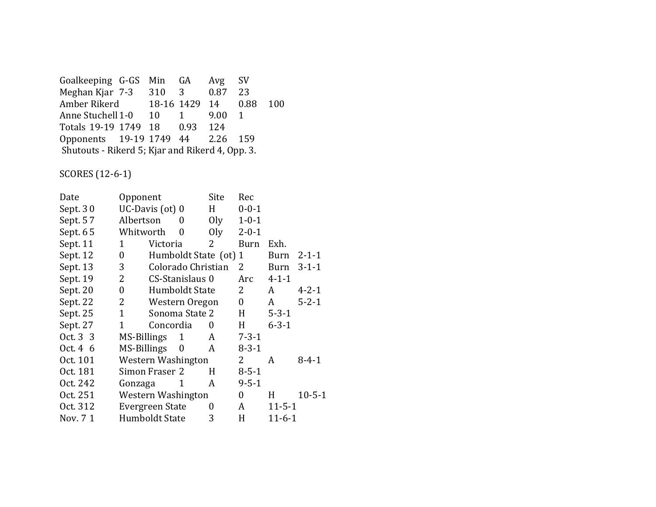Goalkeeping G-GS Min GA Avg SV<br>Meghan Kjar 7-3 310 3 0.87 23 Meghan Kjar 7-3 310 Amber Rikerd 18-16 1429 14 0.88 100 Anne Stuchell 1-0 10 1 9.00 1<br>Totals 19-19 1749 18 0.93 124 Totals 19-19 1749 18 Opponents 19-19 1749 44 2.26 159 Shutouts - Rikerd 5; Kjar and Rikerd 4, Opp. 3.

SCORES (12-6-1)

| Date     | Opponent         |                        |                       | Site           | Rec              |              |              |
|----------|------------------|------------------------|-----------------------|----------------|------------------|--------------|--------------|
| Sept. 30 |                  | UC-Davis (ot) 0        |                       | H              | $0 - 0 - 1$      |              |              |
| Sept. 57 | Albertson        |                        | 0                     | O <sub>l</sub> | $1 - 0 - 1$      |              |              |
| Sept. 65 | Whitworth        |                        | $\overline{0}$        | Oly            | $2 - 0 - 1$      |              |              |
| Sept. 11 | 1                | Victoria               |                       | 2              | <b>Burn</b>      | Exh.         |              |
| Sept. 12 | $\boldsymbol{0}$ |                        | Humboldt State (ot) 1 |                |                  | Burn         | $2 - 1 - 1$  |
| Sept. 13 | 3                |                        | Colorado Christian    |                | 2                | Burn         | $3 - 1 - 1$  |
| Sept. 19 | 2                |                        | CS-Stanislaus 0       |                | Arc              | $4 - 1 - 1$  |              |
| Sept. 20 | 0                |                        | Humboldt State        |                | 2                | A            | $4 - 2 - 1$  |
| Sept. 22 | 2                |                        | Western Oregon        |                | $\boldsymbol{0}$ | A            | $5 - 2 - 1$  |
| Sept. 25 | $\mathbf{1}$     |                        | Sonoma State 2        |                | H                | $5 - 3 - 1$  |              |
| Sept. 27 | 1                | Concordia              |                       | 0              | H                | $6 - 3 - 1$  |              |
| Oct. 3 3 | MS-Billings      |                        | 1                     | A              | $7 - 3 - 1$      |              |              |
| Oct. 4 6 | MS-Billings      |                        | $\boldsymbol{0}$      | A              | $8 - 3 - 1$      |              |              |
| Oct. 101 |                  | Western Washington     |                       |                | 2                | A            | $8 - 4 - 1$  |
| Oct. 181 |                  | Simon Fraser 2         |                       | H              | $8 - 5 - 1$      |              |              |
| Oct. 242 | Gonzaga          |                        | 1                     | A              | $9 - 5 - 1$      |              |              |
| Oct. 251 |                  | Western Washington     |                       |                | 0                | H            | $10 - 5 - 1$ |
| Oct. 312 |                  | <b>Evergreen State</b> |                       |                | A                | $11 - 5 - 1$ |              |
| Nov. 7 1 |                  | Humboldt State         |                       | 3              | H                | $11 - 6 - 1$ |              |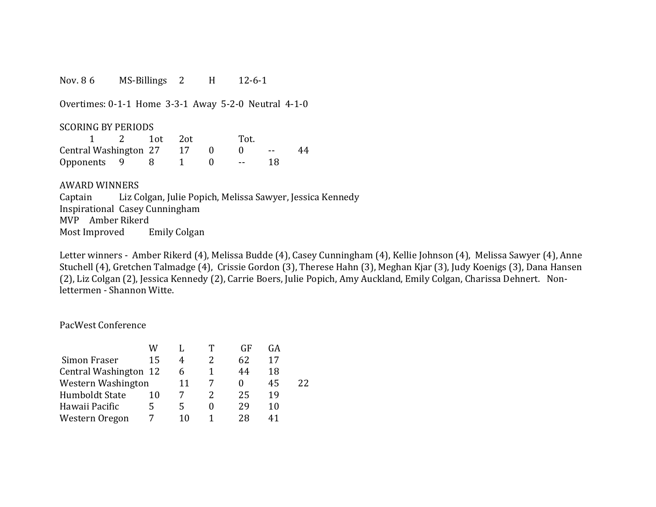Nov. 8 6 MS-Billings 2 H 12-6-1

Overtimes: 0-1-1 Home 3-3-1 Away 5-2-0 Neutral 4-1-0

#### SCORING BY PERIODS

|                       |  | $1$ ot | - 2ot | Tot.        |    |    |
|-----------------------|--|--------|-------|-------------|----|----|
| Central Washington 27 |  |        |       |             |    | 44 |
| Opponents 9           |  |        |       | $\sim$ $ -$ | 18 |    |

#### AWARD WINNERS

Captain Liz Colgan, Julie Popich, Melissa Sawyer, Jessica Kennedy Inspirational Casey Cunningham MVP Amber Rikerd Most Improved Emily Colgan

Letter winners - Amber Rikerd (4), Melissa Budde (4), Casey Cunningham (4), Kellie Johnson (4), Melissa Sawyer (4), Anne Stuchell (4), Gretchen Talmadge (4), Crissie Gordon (3), Therese Hahn (3), Meghan Kjar (3), Judy Koenigs (3), Dana Hansen (2), Liz Colgan (2), Jessica Kennedy (2), Carrie Boers, Julie Popich, Amy Auckland, Emily Colgan, Charissa Dehnert. Nonlettermen - Shannon Witte.

### PacWest Conference

|                       | w  |    | GE | GА |    |
|-----------------------|----|----|----|----|----|
| Simon Fraser          | 15 | 4  | 62 | 17 |    |
| Central Washington 12 |    | h  | 44 | 18 |    |
| Western Washington    |    | 11 |    | 45 | 22 |
| <b>Humboldt State</b> | 10 |    | 25 | 19 |    |
| Hawaii Pacific        | 5  | 5  | 29 | 10 |    |
| Western Oregon        |    |    | 28 |    |    |